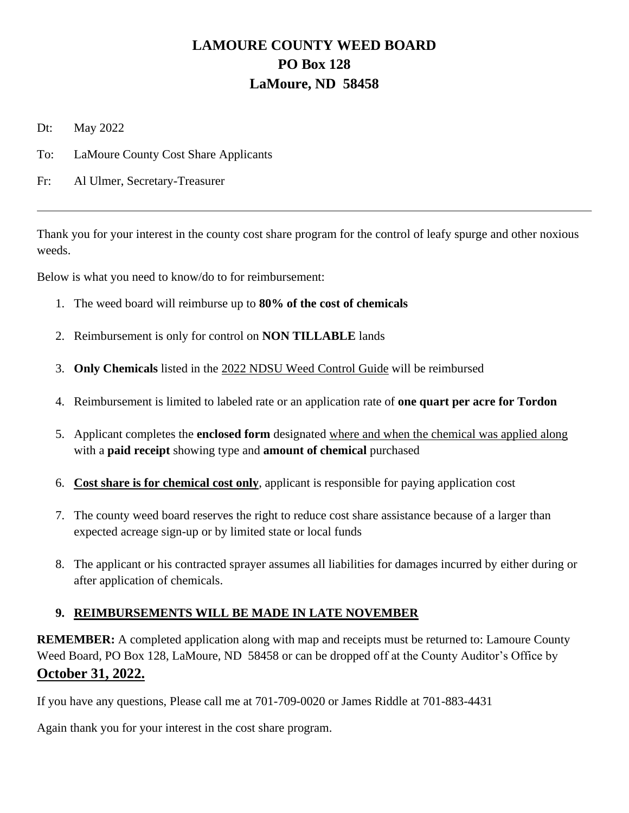## **LAMOURE COUNTY WEED BOARD PO Box 128 LaMoure, ND 58458**

Dt: May 2022

- To: LaMoure County Cost Share Applicants
- Fr: Al Ulmer, Secretary-Treasurer

Thank you for your interest in the county cost share program for the control of leafy spurge and other noxious weeds.

Below is what you need to know/do to for reimbursement:

- 1. The weed board will reimburse up to **80% of the cost of chemicals**
- 2. Reimbursement is only for control on **NON TILLABLE** lands
- 3. **Only Chemicals** listed in the 2022 NDSU Weed Control Guide will be reimbursed
- 4. Reimbursement is limited to labeled rate or an application rate of **one quart per acre for Tordon**
- 5. Applicant completes the **enclosed form** designated where and when the chemical was applied along with a **paid receipt** showing type and **amount of chemical** purchased
- 6. **Cost share is for chemical cost only**, applicant is responsible for paying application cost
- 7. The county weed board reserves the right to reduce cost share assistance because of a larger than expected acreage sign-up or by limited state or local funds
- 8. The applicant or his contracted sprayer assumes all liabilities for damages incurred by either during or after application of chemicals.

## **9. REIMBURSEMENTS WILL BE MADE IN LATE NOVEMBER**

**REMEMBER:** A completed application along with map and receipts must be returned to: Lamoure County Weed Board, PO Box 128, LaMoure, ND 58458 or can be dropped off at the County Auditor's Office by **October 31, 2022.**

If you have any questions, Please call me at 701-709-0020 or James Riddle at 701-883-4431

Again thank you for your interest in the cost share program.